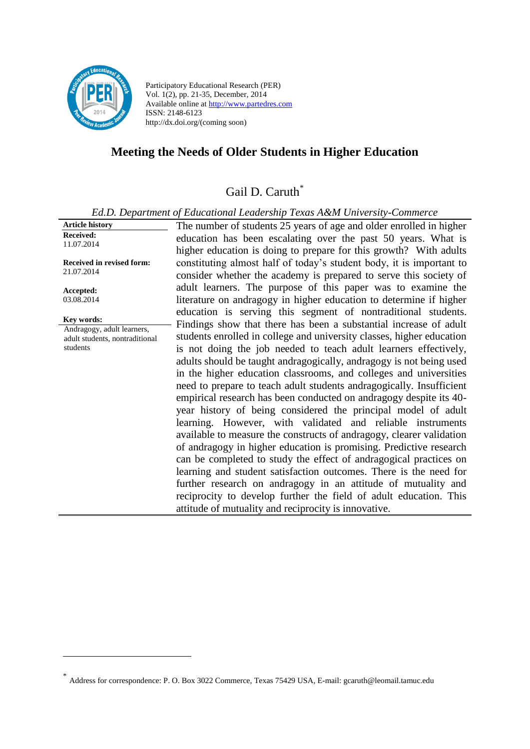

<u>.</u>

Participatory Educational Research (PER) Vol. 1(2), pp. 21-35, December, 2014 Available online at http://www.partedres.com ISSN: 2148-6123 http://dx.doi.org/(coming soon)

# **Meeting the Needs of Older Students in Higher Education**

# Gail D. Caruth<sup>\*</sup>

*Ed.D. Department of Educational Leadership Texas A&M University-Commerce*

**Article history Received:**  11.07.2014 **Received in revised form:**  21.07.2014 **Accepted:** 03.08.2014 The number of students 25 years of age and older enrolled in higher education has been escalating over the past 50 years. What is higher education is doing to prepare for this growth? With adults constituting almost half of today's student body, it is important to consider whether the academy is prepared to serve this society of adult learners. The purpose of this paper was to examine the literature on andragogy in higher education to determine if higher education is serving this segment of nontraditional students. Findings show that there has been a substantial increase of adult students enrolled in college and university classes, higher education is not doing the job needed to teach adult learners effectively, adults should be taught andragogically, andragogy is not being used in the higher education classrooms, and colleges and universities need to prepare to teach adult students andragogically. Insufficient empirical research has been conducted on andragogy despite its 40 year history of being considered the principal model of adult learning. However, with validated and reliable instruments available to measure the constructs of andragogy, clearer validation of andragogy in higher education is promising. Predictive research can be completed to study the effect of andragogical practices on learning and student satisfaction outcomes. There is the need for further research on andragogy in an attitude of mutuality and reciprocity to develop further the field of adult education. This attitude of mutuality and reciprocity is innovative. **Key words:** Andragogy, adult learners, adult students, nontraditional students

<sup>\*</sup> Address for correspondence: P. O. Box 3022 Commerce, Texas 75429 USA, E-mail: [gcaruth@leomail.tamuc.edu](javascript:open_window()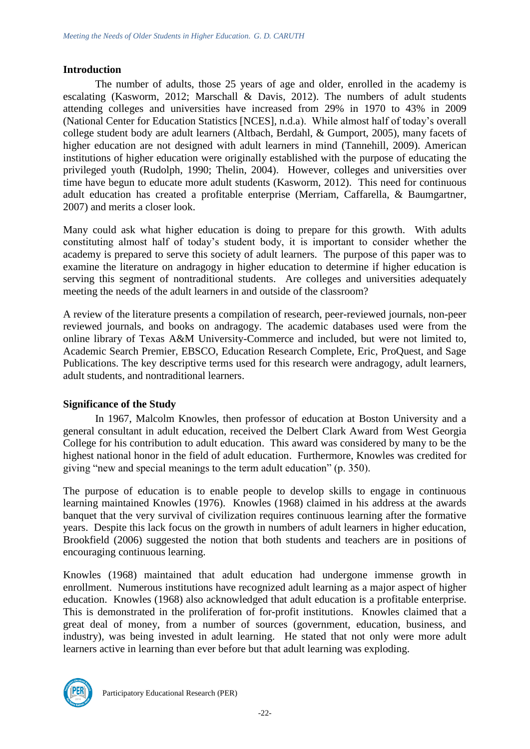#### **Introduction**

The number of adults, those 25 years of age and older, enrolled in the academy is escalating (Kasworm, 2012; Marschall & Davis, 2012). The numbers of adult students attending colleges and universities have increased from 29% in 1970 to 43% in 2009 (National Center for Education Statistics [NCES], n.d.a). While almost half of today's overall college student body are adult learners (Altbach, Berdahl, & Gumport, 2005), many facets of higher education are not designed with adult learners in mind (Tannehill, 2009). American institutions of higher education were originally established with the purpose of educating the privileged youth (Rudolph, 1990; Thelin, 2004). However, colleges and universities over time have begun to educate more adult students (Kasworm, 2012). This need for continuous adult education has created a profitable enterprise (Merriam, Caffarella, & Baumgartner, 2007) and merits a closer look.

Many could ask what higher education is doing to prepare for this growth. With adults constituting almost half of today's student body, it is important to consider whether the academy is prepared to serve this society of adult learners. The purpose of this paper was to examine the literature on andragogy in higher education to determine if higher education is serving this segment of nontraditional students. Are colleges and universities adequately meeting the needs of the adult learners in and outside of the classroom?

A review of the literature presents a compilation of research, peer-reviewed journals, non-peer reviewed journals, and books on andragogy. The academic databases used were from the online library of Texas A&M University-Commerce and included, but were not limited to, Academic Search Premier, EBSCO, Education Research Complete, Eric, ProQuest, and Sage Publications. The key descriptive terms used for this research were andragogy, adult learners, adult students, and nontraditional learners.

### **Significance of the Study**

In 1967, Malcolm Knowles, then professor of education at Boston University and a general consultant in adult education, received the Delbert Clark Award from West Georgia College for his contribution to adult education. This award was considered by many to be the highest national honor in the field of adult education. Furthermore, Knowles was credited for giving "new and special meanings to the term adult education" (p. 350).

The purpose of education is to enable people to develop skills to engage in continuous learning maintained Knowles (1976). Knowles (1968) claimed in his address at the awards banquet that the very survival of civilization requires continuous learning after the formative years. Despite this lack focus on the growth in numbers of adult learners in higher education, Brookfield (2006) suggested the notion that both students and teachers are in positions of encouraging continuous learning.

Knowles (1968) maintained that adult education had undergone immense growth in enrollment. Numerous institutions have recognized adult learning as a major aspect of higher education. Knowles (1968) also acknowledged that adult education is a profitable enterprise. This is demonstrated in the proliferation of for-profit institutions. Knowles claimed that a great deal of money, from a number of sources (government, education, business, and industry), was being invested in adult learning. He stated that not only were more adult learners active in learning than ever before but that adult learning was exploding.

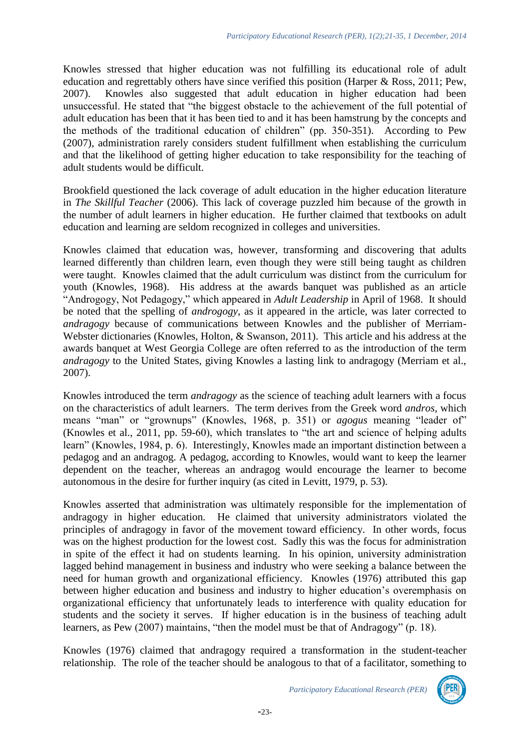Knowles stressed that higher education was not fulfilling its educational role of adult education and regrettably others have since verified this position (Harper & Ross, 2011; Pew, 2007). Knowles also suggested that adult education in higher education had been unsuccessful. He stated that "the biggest obstacle to the achievement of the full potential of adult education has been that it has been tied to and it has been hamstrung by the concepts and the methods of the traditional education of children" (pp. 350-351). According to Pew (2007), administration rarely considers student fulfillment when establishing the curriculum and that the likelihood of getting higher education to take responsibility for the teaching of adult students would be difficult.

Brookfield questioned the lack coverage of adult education in the higher education literature in *The Skillful Teacher* (2006). This lack of coverage puzzled him because of the growth in the number of adult learners in higher education. He further claimed that textbooks on adult education and learning are seldom recognized in colleges and universities.

Knowles claimed that education was, however, transforming and discovering that adults learned differently than children learn, even though they were still being taught as children were taught. Knowles claimed that the adult curriculum was distinct from the curriculum for youth (Knowles, 1968). His address at the awards banquet was published as an article "Androgogy, Not Pedagogy," which appeared in *Adult Leadership* in April of 1968. It should be noted that the spelling of *androgogy*, as it appeared in the article, was later corrected to *andragogy* because of communications between Knowles and the publisher of Merriam-Webster dictionaries (Knowles, Holton, & Swanson, 2011). This article and his address at the awards banquet at West Georgia College are often referred to as the introduction of the term *andragogy* to the United States, giving Knowles a lasting link to andragogy (Merriam et al., 2007).

Knowles introduced the term *andragogy* as the science of teaching adult learners with a focus on the characteristics of adult learners. The term derives from the Greek word *andros*, which means "man" or "grownups" (Knowles, 1968, p. 351) or *agogus* meaning "leader of" (Knowles et al., 2011, pp. 59-60), which translates to "the art and science of helping adults learn" (Knowles, 1984, p. 6). Interestingly, Knowles made an important distinction between a pedagog and an andragog. A pedagog, according to Knowles, would want to keep the learner dependent on the teacher, whereas an andragog would encourage the learner to become autonomous in the desire for further inquiry (as cited in Levitt, 1979, p. 53).

Knowles asserted that administration was ultimately responsible for the implementation of andragogy in higher education. He claimed that university administrators violated the principles of andragogy in favor of the movement toward efficiency. In other words, focus was on the highest production for the lowest cost. Sadly this was the focus for administration in spite of the effect it had on students learning. In his opinion, university administration lagged behind management in business and industry who were seeking a balance between the need for human growth and organizational efficiency. Knowles (1976) attributed this gap between higher education and business and industry to higher education's overemphasis on organizational efficiency that unfortunately leads to interference with quality education for students and the society it serves. If higher education is in the business of teaching adult learners, as Pew (2007) maintains, "then the model must be that of Andragogy" (p. 18).

Knowles (1976) claimed that andragogy required a transformation in the student-teacher relationship. The role of the teacher should be analogous to that of a facilitator, something to

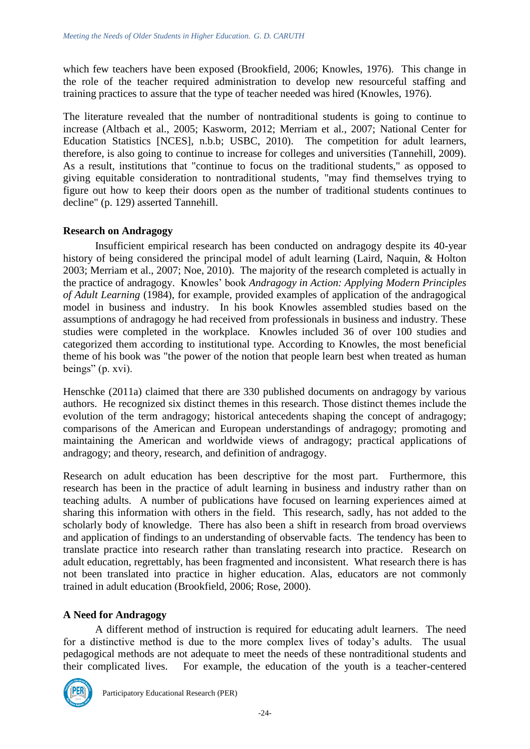which few teachers have been exposed (Brookfield, 2006; Knowles, 1976). This change in the role of the teacher required administration to develop new resourceful staffing and training practices to assure that the type of teacher needed was hired (Knowles, 1976).

The literature revealed that the number of nontraditional students is going to continue to increase (Altbach et al., 2005; Kasworm, 2012; Merriam et al., 2007; National Center for Education Statistics [NCES], n.b.b; USBC, 2010). The competition for adult learners, therefore, is also going to continue to increase for colleges and universities (Tannehill, 2009). As a result, institutions that "continue to focus on the traditional students," as opposed to giving equitable consideration to nontraditional students, "may find themselves trying to figure out how to keep their doors open as the number of traditional students continues to decline" (p. 129) asserted Tannehill.

## **Research on Andragogy**

Insufficient empirical research has been conducted on andragogy despite its 40-year history of being considered the principal model of adult learning (Laird, Naquin, & Holton 2003; Merriam et al., 2007; Noe, 2010). The majority of the research completed is actually in the practice of andragogy. Knowles' book *Andragogy in Action: Applying Modern Principles of Adult Learning* (1984), for example, provided examples of application of the andragogical model in business and industry. In his book Knowles assembled studies based on the assumptions of andragogy he had received from professionals in business and industry. These studies were completed in the workplace. Knowles included 36 of over 100 studies and categorized them according to institutional type. According to Knowles, the most beneficial theme of his book was "the power of the notion that people learn best when treated as human beings" (p. xvi).

Henschke (2011a) claimed that there are 330 published documents on andragogy by various authors. He recognized six distinct themes in this research. Those distinct themes include the evolution of the term andragogy; historical antecedents shaping the concept of andragogy; comparisons of the American and European understandings of andragogy; promoting and maintaining the American and worldwide views of andragogy; practical applications of andragogy; and theory, research, and definition of andragogy.

Research on adult education has been descriptive for the most part. Furthermore, this research has been in the practice of adult learning in business and industry rather than on teaching adults. A number of publications have focused on learning experiences aimed at sharing this information with others in the field. This research, sadly, has not added to the scholarly body of knowledge. There has also been a shift in research from broad overviews and application of findings to an understanding of observable facts. The tendency has been to translate practice into research rather than translating research into practice. Research on adult education, regrettably, has been fragmented and inconsistent. What research there is has not been translated into practice in higher education. Alas, educators are not commonly trained in adult education (Brookfield, 2006; Rose, 2000).

## **A Need for Andragogy**

A different method of instruction is required for educating adult learners. The need for a distinctive method is due to the more complex lives of today's adults. The usual pedagogical methods are not adequate to meet the needs of these nontraditional students and their complicated lives. For example, the education of the youth is a teacher-centered

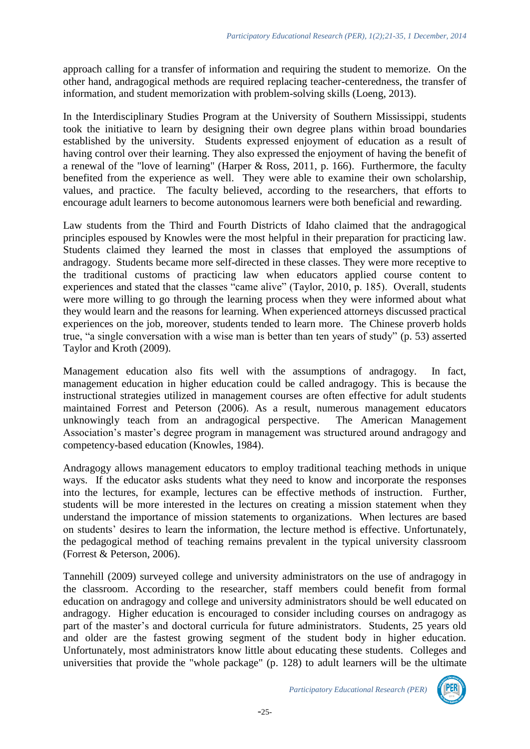approach calling for a transfer of information and requiring the student to memorize. On the other hand, andragogical methods are required replacing teacher-centeredness, the transfer of information, and student memorization with problem-solving skills (Loeng, 2013).

In the Interdisciplinary Studies Program at the University of Southern Mississippi, students took the initiative to learn by designing their own degree plans within broad boundaries established by the university. Students expressed enjoyment of education as a result of having control over their learning. They also expressed the enjoyment of having the benefit of a renewal of the "love of learning" (Harper & Ross, 2011, p. 166). Furthermore, the faculty benefited from the experience as well. They were able to examine their own scholarship, values, and practice. The faculty believed, according to the researchers, that efforts to encourage adult learners to become autonomous learners were both beneficial and rewarding.

Law students from the Third and Fourth Districts of Idaho claimed that the andragogical principles espoused by Knowles were the most helpful in their preparation for practicing law. Students claimed they learned the most in classes that employed the assumptions of andragogy. Students became more self-directed in these classes. They were more receptive to the traditional customs of practicing law when educators applied course content to experiences and stated that the classes "came alive" (Taylor, 2010, p. 185). Overall, students were more willing to go through the learning process when they were informed about what they would learn and the reasons for learning. When experienced attorneys discussed practical experiences on the job, moreover, students tended to learn more. The Chinese proverb holds true, "a single conversation with a wise man is better than ten years of study" (p. 53) asserted Taylor and Kroth (2009).

Management education also fits well with the assumptions of andragogy. In fact, management education in higher education could be called andragogy. This is because the instructional strategies utilized in management courses are often effective for adult students maintained Forrest and Peterson (2006). As a result, numerous management educators unknowingly teach from an andragogical perspective. The American Management Association's master's degree program in management was structured around andragogy and competency-based education (Knowles, 1984).

Andragogy allows management educators to employ traditional teaching methods in unique ways. If the educator asks students what they need to know and incorporate the responses into the lectures, for example, lectures can be effective methods of instruction. Further, students will be more interested in the lectures on creating a mission statement when they understand the importance of mission statements to organizations. When lectures are based on students' desires to learn the information, the lecture method is effective. Unfortunately, the pedagogical method of teaching remains prevalent in the typical university classroom (Forrest & Peterson, 2006).

Tannehill (2009) surveyed college and university administrators on the use of andragogy in the classroom. According to the researcher, staff members could benefit from formal education on andragogy and college and university administrators should be well educated on andragogy. Higher education is encouraged to consider including courses on andragogy as part of the master's and doctoral curricula for future administrators. Students, 25 years old and older are the fastest growing segment of the student body in higher education. Unfortunately, most administrators know little about educating these students. Colleges and universities that provide the "whole package" (p. 128) to adult learners will be the ultimate

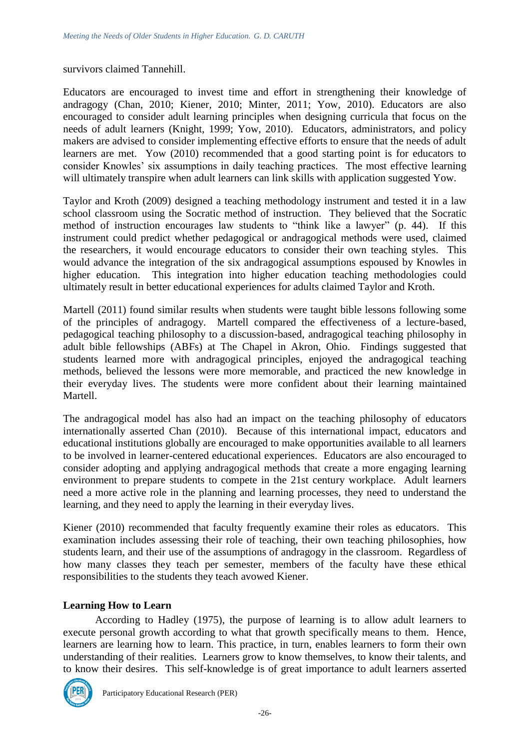#### survivors claimed Tannehill.

Educators are encouraged to invest time and effort in strengthening their knowledge of andragogy (Chan, 2010; Kiener, 2010; Minter, 2011; Yow, 2010). Educators are also encouraged to consider adult learning principles when designing curricula that focus on the needs of adult learners (Knight, 1999; Yow, 2010). Educators, administrators, and policy makers are advised to consider implementing effective efforts to ensure that the needs of adult learners are met. Yow (2010) recommended that a good starting point is for educators to consider Knowles' six assumptions in daily teaching practices. The most effective learning will ultimately transpire when adult learners can link skills with application suggested Yow.

Taylor and Kroth (2009) designed a teaching methodology instrument and tested it in a law school classroom using the Socratic method of instruction. They believed that the Socratic method of instruction encourages law students to "think like a lawyer" (p. 44). If this instrument could predict whether pedagogical or andragogical methods were used, claimed the researchers, it would encourage educators to consider their own teaching styles. This would advance the integration of the six andragogical assumptions espoused by Knowles in higher education. This integration into higher education teaching methodologies could ultimately result in better educational experiences for adults claimed Taylor and Kroth.

Martell (2011) found similar results when students were taught bible lessons following some of the principles of andragogy. Martell compared the effectiveness of a lecture-based, pedagogical teaching philosophy to a discussion-based, andragogical teaching philosophy in adult bible fellowships (ABFs) at The Chapel in Akron, Ohio. Findings suggested that students learned more with andragogical principles, enjoyed the andragogical teaching methods, believed the lessons were more memorable, and practiced the new knowledge in their everyday lives. The students were more confident about their learning maintained Martell.

The andragogical model has also had an impact on the teaching philosophy of educators internationally asserted Chan (2010). Because of this international impact, educators and educational institutions globally are encouraged to make opportunities available to all learners to be involved in learner-centered educational experiences. Educators are also encouraged to consider adopting and applying andragogical methods that create a more engaging learning environment to prepare students to compete in the 21st century workplace. Adult learners need a more active role in the planning and learning processes, they need to understand the learning, and they need to apply the learning in their everyday lives.

Kiener (2010) recommended that faculty frequently examine their roles as educators. This examination includes assessing their role of teaching, their own teaching philosophies, how students learn, and their use of the assumptions of andragogy in the classroom. Regardless of how many classes they teach per semester, members of the faculty have these ethical responsibilities to the students they teach avowed Kiener.

### **Learning How to Learn**

According to Hadley (1975), the purpose of learning is to allow adult learners to execute personal growth according to what that growth specifically means to them. Hence, learners are learning how to learn. This practice, in turn, enables learners to form their own understanding of their realities. Learners grow to know themselves, to know their talents, and to know their desires. This self-knowledge is of great importance to adult learners asserted

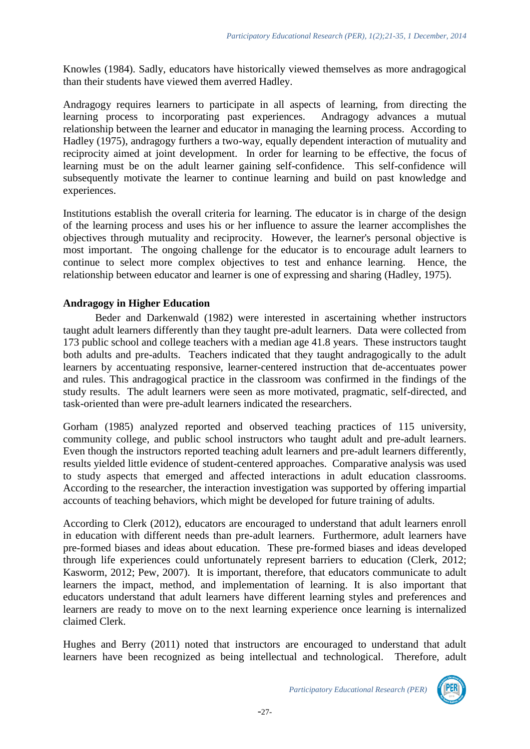Knowles (1984). Sadly, educators have historically viewed themselves as more andragogical than their students have viewed them averred Hadley.

Andragogy requires learners to participate in all aspects of learning, from directing the learning process to incorporating past experiences. Andragogy advances a mutual learning process to incorporating past experiences. relationship between the learner and educator in managing the learning process. According to Hadley (1975), andragogy furthers a two-way, equally dependent interaction of mutuality and reciprocity aimed at joint development. In order for learning to be effective, the focus of learning must be on the adult learner gaining self-confidence. This self-confidence will subsequently motivate the learner to continue learning and build on past knowledge and experiences.

Institutions establish the overall criteria for learning. The educator is in charge of the design of the learning process and uses his or her influence to assure the learner accomplishes the objectives through mutuality and reciprocity. However, the learner's personal objective is most important. The ongoing challenge for the educator is to encourage adult learners to continue to select more complex objectives to test and enhance learning. Hence, the relationship between educator and learner is one of expressing and sharing (Hadley, 1975).

### **Andragogy in Higher Education**

Beder and Darkenwald (1982) were interested in ascertaining whether instructors taught adult learners differently than they taught pre-adult learners. Data were collected from 173 public school and college teachers with a median age 41.8 years. These instructors taught both adults and pre-adults. Teachers indicated that they taught andragogically to the adult learners by accentuating responsive, learner-centered instruction that de-accentuates power and rules. This andragogical practice in the classroom was confirmed in the findings of the study results. The adult learners were seen as more motivated, pragmatic, self-directed, and task-oriented than were pre-adult learners indicated the researchers.

Gorham (1985) analyzed reported and observed teaching practices of 115 university, community college, and public school instructors who taught adult and pre-adult learners. Even though the instructors reported teaching adult learners and pre-adult learners differently, results yielded little evidence of student-centered approaches. Comparative analysis was used to study aspects that emerged and affected interactions in adult education classrooms. According to the researcher, the interaction investigation was supported by offering impartial accounts of teaching behaviors, which might be developed for future training of adults.

According to Clerk (2012), educators are encouraged to understand that adult learners enroll in education with different needs than pre-adult learners. Furthermore, adult learners have pre-formed biases and ideas about education. These pre-formed biases and ideas developed through life experiences could unfortunately represent barriers to education (Clerk, 2012; Kasworm, 2012; Pew, 2007). It is important, therefore, that educators communicate to adult learners the impact, method, and implementation of learning. It is also important that educators understand that adult learners have different learning styles and preferences and learners are ready to move on to the next learning experience once learning is internalized claimed Clerk.

Hughes and Berry (2011) noted that instructors are encouraged to understand that adult learners have been recognized as being intellectual and technological. Therefore, adult

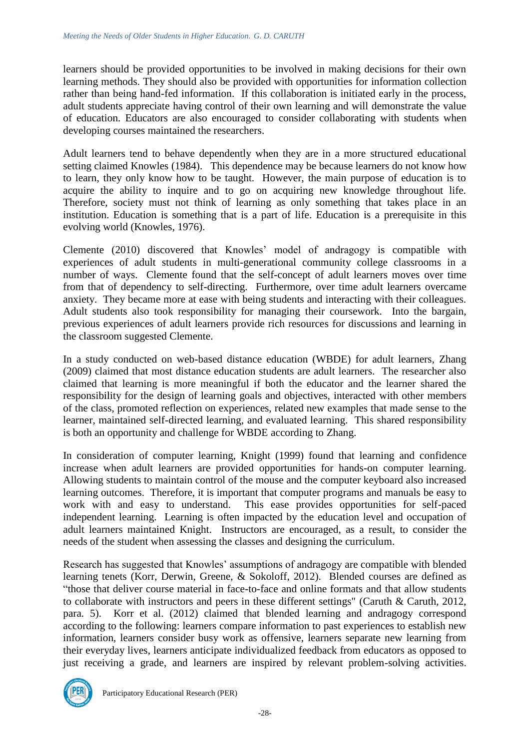learners should be provided opportunities to be involved in making decisions for their own learning methods. They should also be provided with opportunities for information collection rather than being hand-fed information. If this collaboration is initiated early in the process, adult students appreciate having control of their own learning and will demonstrate the value of education. Educators are also encouraged to consider collaborating with students when developing courses maintained the researchers.

Adult learners tend to behave dependently when they are in a more structured educational setting claimed Knowles (1984). This dependence may be because learners do not know how to learn, they only know how to be taught. However, the main purpose of education is to acquire the ability to inquire and to go on acquiring new knowledge throughout life. Therefore, society must not think of learning as only something that takes place in an institution. Education is something that is a part of life. Education is a prerequisite in this evolving world (Knowles, 1976).

Clemente (2010) discovered that Knowles' model of andragogy is compatible with experiences of adult students in multi-generational community college classrooms in a number of ways. Clemente found that the self-concept of adult learners moves over time from that of dependency to self-directing. Furthermore, over time adult learners overcame anxiety. They became more at ease with being students and interacting with their colleagues. Adult students also took responsibility for managing their coursework. Into the bargain, previous experiences of adult learners provide rich resources for discussions and learning in the classroom suggested Clemente.

In a study conducted on web-based distance education (WBDE) for adult learners, Zhang (2009) claimed that most distance education students are adult learners. The researcher also claimed that learning is more meaningful if both the educator and the learner shared the responsibility for the design of learning goals and objectives, interacted with other members of the class, promoted reflection on experiences, related new examples that made sense to the learner, maintained self-directed learning, and evaluated learning. This shared responsibility is both an opportunity and challenge for WBDE according to Zhang.

In consideration of computer learning, Knight (1999) found that learning and confidence increase when adult learners are provided opportunities for hands-on computer learning. Allowing students to maintain control of the mouse and the computer keyboard also increased learning outcomes. Therefore, it is important that computer programs and manuals be easy to work with and easy to understand. This ease provides opportunities for self-paced independent learning. Learning is often impacted by the education level and occupation of adult learners maintained Knight. Instructors are encouraged, as a result, to consider the needs of the student when assessing the classes and designing the curriculum.

Research has suggested that Knowles' assumptions of andragogy are compatible with blended learning tenets (Korr, Derwin, Greene, & Sokoloff, 2012). Blended courses are defined as "those that deliver course material in face-to-face and online formats and that allow students to collaborate with instructors and peers in these different settings" (Caruth & Caruth, 2012, para. 5). Korr et al. (2012) claimed that blended learning and andragogy correspond according to the following: learners compare information to past experiences to establish new information, learners consider busy work as offensive, learners separate new learning from their everyday lives, learners anticipate individualized feedback from educators as opposed to just receiving a grade, and learners are inspired by relevant problem-solving activities.

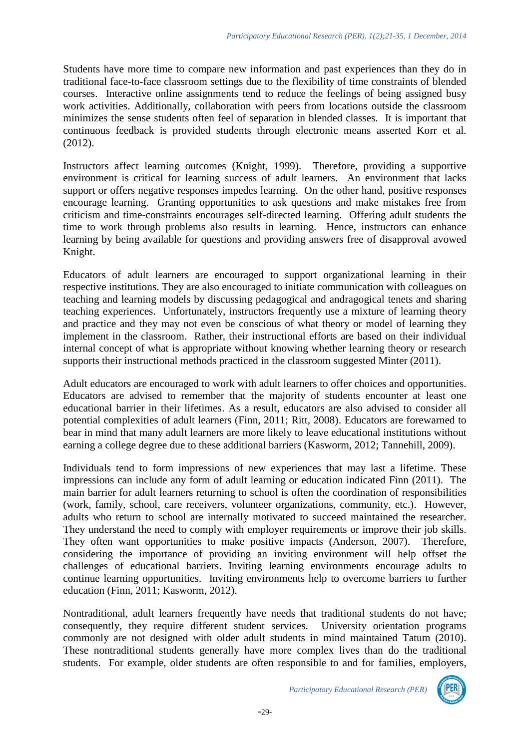Students have more time to compare new information and past experiences than they do in traditional face-to-face classroom settings due to the flexibility of time constraints of blended courses. Interactive online assignments tend to reduce the feelings of being assigned busy work activities. Additionally, collaboration with peers from locations outside the classroom minimizes the sense students often feel of separation in blended classes. It is important that continuous feedback is provided students through electronic means asserted Korr et al. (2012).

Instructors affect learning outcomes (Knight, 1999). Therefore, providing a supportive environment is critical for learning success of adult learners. An environment that lacks support or offers negative responses impedes learning. On the other hand, positive responses encourage learning. Granting opportunities to ask questions and make mistakes free from criticism and time-constraints encourages self-directed learning. Offering adult students the time to work through problems also results in learning. Hence, instructors can enhance learning by being available for questions and providing answers free of disapproval avowed Knight.

Educators of adult learners are encouraged to support organizational learning in their respective institutions. They are also encouraged to initiate communication with colleagues on teaching and learning models by discussing pedagogical and andragogical tenets and sharing teaching experiences. Unfortunately, instructors frequently use a mixture of learning theory and practice and they may not even be conscious of what theory or model of learning they implement in the classroom. Rather, their instructional efforts are based on their individual internal concept of what is appropriate without knowing whether learning theory or research supports their instructional methods practiced in the classroom suggested Minter (2011).

Adult educators are encouraged to work with adult learners to offer choices and opportunities. Educators are advised to remember that the majority of students encounter at least one educational barrier in their lifetimes. As a result, educators are also advised to consider all potential complexities of adult learners (Finn, 2011; Ritt, 2008). Educators are forewarned to bear in mind that many adult learners are more likely to leave educational institutions without earning a college degree due to these additional barriers (Kasworm, 2012; Tannehill, 2009).

Individuals tend to form impressions of new experiences that may last a lifetime. These impressions can include any form of adult learning or education indicated Finn (2011). The main barrier for adult learners returning to school is often the coordination of responsibilities (work, family, school, care receivers, volunteer organizations, community, etc.). However, adults who return to school are internally motivated to succeed maintained the researcher. They understand the need to comply with employer requirements or improve their job skills. They often want opportunities to make positive impacts (Anderson, 2007). Therefore, considering the importance of providing an inviting environment will help offset the challenges of educational barriers. Inviting learning environments encourage adults to continue learning opportunities. Inviting environments help to overcome barriers to further education (Finn, 2011; Kasworm, 2012).

Nontraditional, adult learners frequently have needs that traditional students do not have; consequently, they require different student services. University orientation programs commonly are not designed with older adult students in mind maintained Tatum (2010). These nontraditional students generally have more complex lives than do the traditional students. For example, older students are often responsible to and for families, employers,

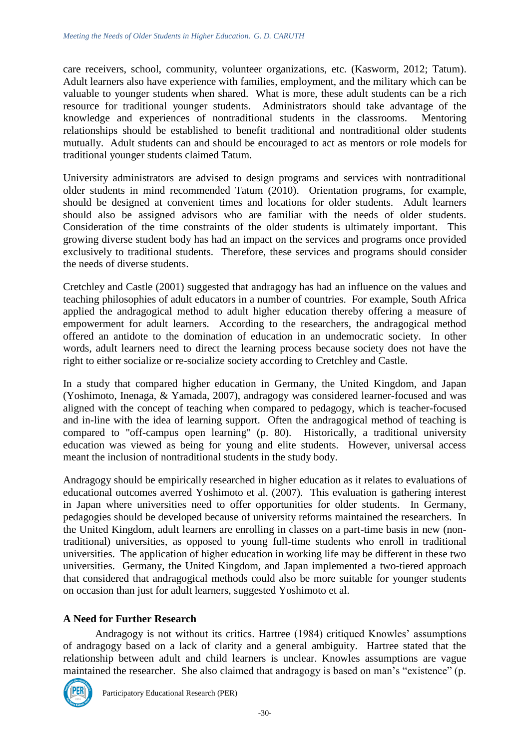care receivers, school, community, volunteer organizations, etc. (Kasworm, 2012; Tatum). Adult learners also have experience with families, employment, and the military which can be valuable to younger students when shared. What is more, these adult students can be a rich resource for traditional younger students. Administrators should take advantage of the knowledge and experiences of nontraditional students in the classrooms. Mentoring relationships should be established to benefit traditional and nontraditional older students mutually. Adult students can and should be encouraged to act as mentors or role models for traditional younger students claimed Tatum.

University administrators are advised to design programs and services with nontraditional older students in mind recommended Tatum (2010). Orientation programs, for example, should be designed at convenient times and locations for older students. Adult learners should also be assigned advisors who are familiar with the needs of older students. Consideration of the time constraints of the older students is ultimately important. This growing diverse student body has had an impact on the services and programs once provided exclusively to traditional students. Therefore, these services and programs should consider the needs of diverse students.

Cretchley and Castle (2001) suggested that andragogy has had an influence on the values and teaching philosophies of adult educators in a number of countries. For example, South Africa applied the andragogical method to adult higher education thereby offering a measure of empowerment for adult learners. According to the researchers, the andragogical method offered an antidote to the domination of education in an undemocratic society. In other words, adult learners need to direct the learning process because society does not have the right to either socialize or re-socialize society according to Cretchley and Castle.

In a study that compared higher education in Germany, the United Kingdom, and Japan (Yoshimoto, Inenaga, & Yamada, 2007), andragogy was considered learner-focused and was aligned with the concept of teaching when compared to pedagogy, which is teacher-focused and in-line with the idea of learning support. Often the andragogical method of teaching is compared to "off-campus open learning" (p. 80). Historically, a traditional university education was viewed as being for young and elite students. However, universal access meant the inclusion of nontraditional students in the study body.

Andragogy should be empirically researched in higher education as it relates to evaluations of educational outcomes averred Yoshimoto et al. (2007). This evaluation is gathering interest in Japan where universities need to offer opportunities for older students. In Germany, pedagogies should be developed because of university reforms maintained the researchers. In the United Kingdom, adult learners are enrolling in classes on a part-time basis in new (nontraditional) universities, as opposed to young full-time students who enroll in traditional universities. The application of higher education in working life may be different in these two universities. Germany, the United Kingdom, and Japan implemented a two-tiered approach that considered that andragogical methods could also be more suitable for younger students on occasion than just for adult learners, suggested Yoshimoto et al.

## **A Need for Further Research**

Andragogy is not without its critics. Hartree (1984) critiqued Knowles' assumptions of andragogy based on a lack of clarity and a general ambiguity. Hartree stated that the relationship between adult and child learners is unclear. Knowles assumptions are vague maintained the researcher. She also claimed that andragogy is based on man's "existence" (p.

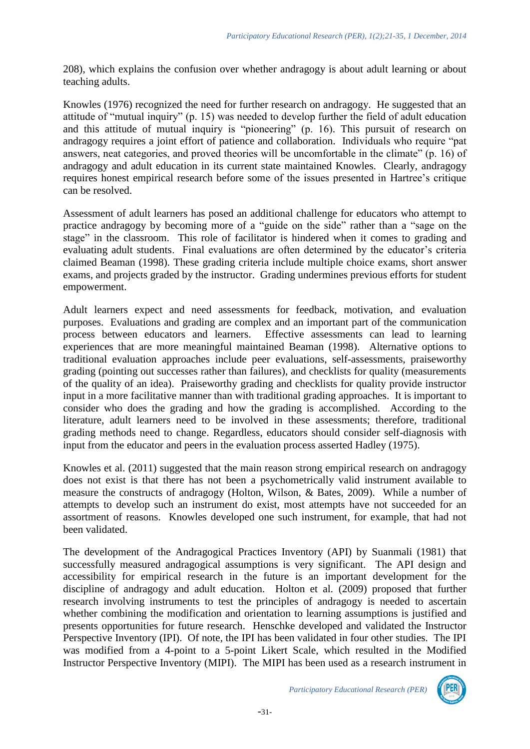208), which explains the confusion over whether andragogy is about adult learning or about teaching adults.

Knowles (1976) recognized the need for further research on andragogy. He suggested that an attitude of "mutual inquiry" (p. 15) was needed to develop further the field of adult education and this attitude of mutual inquiry is "pioneering" (p. 16). This pursuit of research on andragogy requires a joint effort of patience and collaboration. Individuals who require "pat answers, neat categories, and proved theories will be uncomfortable in the climate" (p. 16) of andragogy and adult education in its current state maintained Knowles. Clearly, andragogy requires honest empirical research before some of the issues presented in Hartree's critique can be resolved.

Assessment of adult learners has posed an additional challenge for educators who attempt to practice andragogy by becoming more of a "guide on the side" rather than a "sage on the stage" in the classroom. This role of facilitator is hindered when it comes to grading and evaluating adult students. Final evaluations are often determined by the educator's criteria claimed Beaman (1998). These grading criteria include multiple choice exams, short answer exams, and projects graded by the instructor. Grading undermines previous efforts for student empowerment.

Adult learners expect and need assessments for feedback, motivation, and evaluation purposes. Evaluations and grading are complex and an important part of the communication process between educators and learners. Effective assessments can lead to learning experiences that are more meaningful maintained Beaman (1998). Alternative options to traditional evaluation approaches include peer evaluations, self-assessments, praiseworthy grading (pointing out successes rather than failures), and checklists for quality (measurements of the quality of an idea). Praiseworthy grading and checklists for quality provide instructor input in a more facilitative manner than with traditional grading approaches. It is important to consider who does the grading and how the grading is accomplished. According to the literature, adult learners need to be involved in these assessments; therefore, traditional grading methods need to change. Regardless, educators should consider self-diagnosis with input from the educator and peers in the evaluation process asserted Hadley (1975).

Knowles et al. (2011) suggested that the main reason strong empirical research on andragogy does not exist is that there has not been a psychometrically valid instrument available to measure the constructs of andragogy (Holton, Wilson, & Bates, 2009). While a number of attempts to develop such an instrument do exist, most attempts have not succeeded for an assortment of reasons. Knowles developed one such instrument, for example, that had not been validated.

The development of the Andragogical Practices Inventory (API) by Suanmali (1981) that successfully measured andragogical assumptions is very significant. The API design and accessibility for empirical research in the future is an important development for the discipline of andragogy and adult education. Holton et al. (2009) proposed that further research involving instruments to test the principles of andragogy is needed to ascertain whether combining the modification and orientation to learning assumptions is justified and presents opportunities for future research. Henschke developed and validated the Instructor Perspective Inventory (IPI). Of note, the IPI has been validated in four other studies. The IPI was modified from a 4-point to a 5-point Likert Scale, which resulted in the Modified Instructor Perspective Inventory (MIPI). The MIPI has been used as a research instrument in

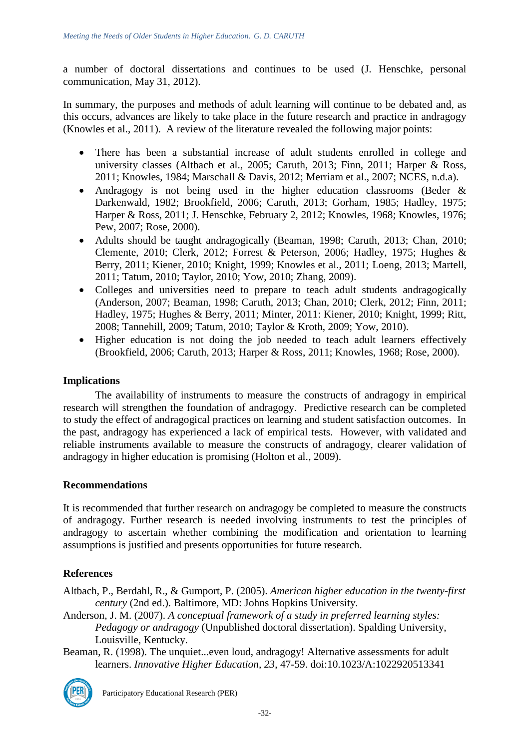a number of doctoral dissertations and continues to be used (J. Henschke, personal communication, May 31, 2012).

In summary, the purposes and methods of adult learning will continue to be debated and, as this occurs, advances are likely to take place in the future research and practice in andragogy (Knowles et al., 2011). A review of the literature revealed the following major points:

- There has been a substantial increase of adult students enrolled in college and university classes (Altbach et al., 2005; Caruth, 2013; Finn, 2011; Harper & Ross, 2011; Knowles, 1984; Marschall & Davis, 2012; Merriam et al., 2007; NCES, n.d.a).
- Andragogy is not being used in the higher education classrooms (Beder & Darkenwald, 1982; Brookfield, 2006; Caruth, 2013; Gorham, 1985; Hadley, 1975; Harper & Ross, 2011; J. Henschke, February 2, 2012; Knowles, 1968; Knowles, 1976; Pew, 2007; Rose, 2000).
- Adults should be taught andragogically (Beaman, 1998; Caruth, 2013; Chan, 2010; Clemente, 2010; Clerk, 2012; Forrest & Peterson, 2006; Hadley, 1975; Hughes & Berry, 2011; Kiener, 2010; Knight, 1999; Knowles et al., 2011; Loeng, 2013; Martell, 2011; Tatum, 2010; Taylor, 2010; Yow, 2010; Zhang, 2009).
- Colleges and universities need to prepare to teach adult students andragogically (Anderson, 2007; Beaman, 1998; Caruth, 2013; Chan, 2010; Clerk, 2012; Finn, 2011; Hadley, 1975; Hughes & Berry, 2011; Minter, 2011: Kiener, 2010; Knight, 1999; Ritt, 2008; Tannehill, 2009; Tatum, 2010; Taylor & Kroth, 2009; Yow, 2010).
- Higher education is not doing the job needed to teach adult learners effectively (Brookfield, 2006; Caruth, 2013; Harper & Ross, 2011; Knowles, 1968; Rose, 2000).

### **Implications**

The availability of instruments to measure the constructs of andragogy in empirical research will strengthen the foundation of andragogy. Predictive research can be completed to study the effect of andragogical practices on learning and student satisfaction outcomes. In the past, andragogy has experienced a lack of empirical tests. However, with validated and reliable instruments available to measure the constructs of andragogy, clearer validation of andragogy in higher education is promising (Holton et al., 2009).

### **Recommendations**

It is recommended that further research on andragogy be completed to measure the constructs of andragogy. Further research is needed involving instruments to test the principles of andragogy to ascertain whether combining the modification and orientation to learning assumptions is justified and presents opportunities for future research.

### **References**

- Altbach, P., Berdahl, R., & Gumport, P. (2005). *American higher education in the twenty-first century* (2nd ed.). Baltimore, MD: Johns Hopkins University.
- Anderson, J. M. (2007). *A conceptual framework of a study in preferred learning styles: Pedagogy or [andragogy](http://proxy.tamu-commerce.edu:8386/V/512MTP21CGFQ8FFV461L6QIA9TNUFBX5PYM3MEQCHS5N25AYAL-28469?func=quick-3&short-format=002&set_number=000516&set_entry=000002&format=999)* (Unpublished doctoral dissertation). Spalding University, Louisville, Kentucky.
- Beaman, R. (1998). The unquiet...even loud, andragogy! Alternative assessments for adult learners. *Innovative Higher Education, 23*, 47-59. doi:10.1023/A:1022920513341

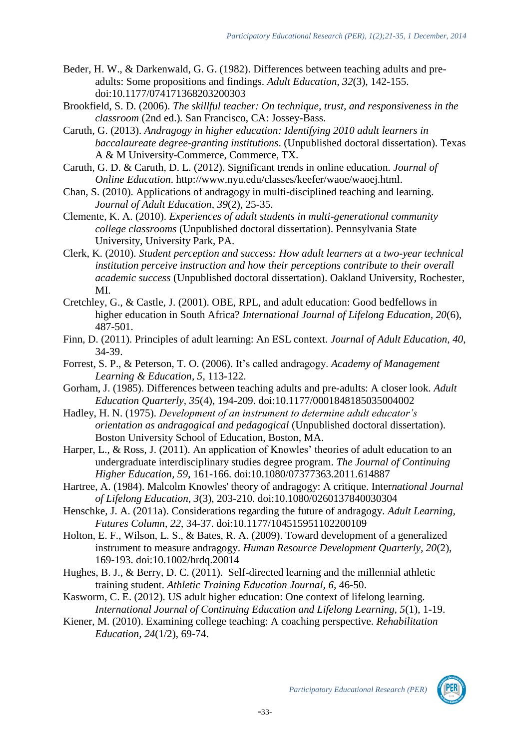- Beder, H. W., & Darkenwald, G. G. (1982). Differences between teaching adults and preadults: Some propositions and findings. *Adult Education, 32*(3), 142-155. doi:10.1177/074171368203200303
- Brookfield, S. D. (2006). *The skillful teacher: On technique, trust, and responsiveness in the classroom* (2nd ed.)*.* San Francisco, CA: Jossey-Bass.
- Caruth, G. (2013). *Andragogy in higher education: Identifying 2010 adult learners in baccalaureate degree-granting institutions*. (Unpublished doctoral dissertation). Texas A & M University-Commerce, Commerce, TX.
- Caruth, G. D. & Caruth, D. L. (2012). Significant trends in online education*. Journal of Online Education*. http://www.nyu.edu/classes/keefer/waoe/waoej.html.
- Chan, S. (2010). Applications of andragogy in multi-disciplined teaching and learning. *Journal of Adult Education, 39*(2), 25-35.
- Clemente, K. A. (2010). *Experiences of adult students in multi-generational community college classrooms* (Unpublished doctoral dissertation). Pennsylvania State University, University Park, PA.
- Clerk, K. (2010). *Student perception and success: How adult learners at a two-year technical institution perceive instruction and how their perceptions contribute to their overall academic success* (Unpublished doctoral dissertation). Oakland University, Rochester, MI.
- Cretchley, G., & Castle, J. (2001). OBE, RPL, and adult education: Good bedfellows in higher education in South Africa? *International Journal of Lifelong Education, 20*(6), 487-501.
- Finn, D. (2011). Principles of adult learning: An ESL context. *Journal of Adult Education, 40*, 34-39.
- Forrest, S. P., & Peterson, T. O. (2006). It's called andragogy. *Academy of Management Learning & Education, 5*, 113-122.
- Gorham, J. (1985). Differences between teaching adults and pre-adults: A closer look. *Adult Education Quarterly, 35*(4), 194-209. doi:10.1177/0001848185035004002
- Hadley, H. N. (1975). *Development of an instrument to determine adult educator's orientation as andragogical and pedagogical* (Unpublished doctoral dissertation). Boston University School of Education, Boston, MA.
- Harper, L., & Ross, J. (2011). An application of Knowles' theories of adult education to an undergraduate interdisciplinary studies degree program. *The Journal of Continuing Higher Education, 59*, 161-166. doi:10.1080/07377363.2011.614887
- Hartree, A. (1984). Malcolm Knowles' theory of andragogy: A critique. Inter*national Journal of Lifelong Education, 3*(3), 203-210. doi:10.1080/0260137840030304
- Henschke, J. A. (2011a). Considerations regarding the future of andragogy. *Adult Learning, Futures Column, 22*, 34-37. doi:10.1177/104515951102200109
- Holton, E. F., Wilson, L. S., & Bates, R. A. (2009). Toward development of a generalized instrument to measure andragogy. *Human Resource Development Quarterly, 20*(2), 169-193. doi:10.1002/hrdq.20014
- Hughes, B. J., & Berry, D. C. (2011). Self-directed learning and the millennial athletic training student. *Athletic Training Education Journal, 6*, 46-50.
- Kasworm, C. E. (2012). US adult higher education: One context of lifelong learning. *International Journal of Continuing Education and Lifelong Learning, 5*(1), 1-19.
- Kiener, M. (2010). Examining college teaching: A coaching perspective. *Rehabilitation Education, 24*(1/2), 69-74.

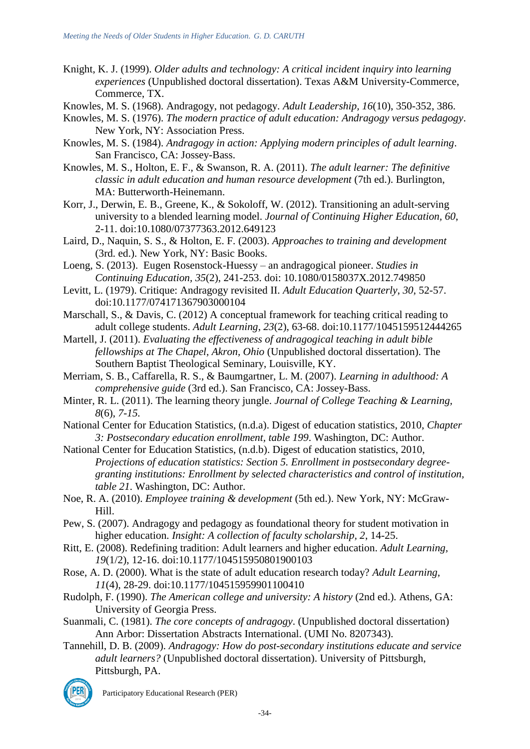- Knight, K. J. (1999). *Older adults and technology: A critical incident inquiry into learning experiences* (Unpublished doctoral dissertation). Texas A&M University-Commerce, Commerce, TX.
- Knowles, M. S. (1968). Andragogy, not pedagogy. *Adult Leadership, 16*(10), 350-352, 386.
- Knowles, M. S. (1976). *The modern practice of adult education: Andragogy versus pedagogy*. New York, NY: Association Press.
- Knowles, M. S. (1984). *Andragogy in action: Applying modern principles of adult learning*. San Francisco, CA: Jossey-Bass.
- Knowles, M. S., Holton, E. F., & Swanson, R. A. (2011). *The adult learner: The definitive classic in adult education and human resource development* (7th ed.). Burlington, MA: Butterworth-Heinemann.
- Korr, J., Derwin, E. B., Greene, K., & Sokoloff, W. (2012). Transitioning an adult-serving university to a blended learning model. *Journal of Continuing Higher Education, 60*, 2-11. doi:10.1080/07377363.2012.649123
- Laird, D., Naquin, S. S., & Holton, E. F. (2003). *Approaches to training and development* (3rd. ed.). New York, NY: Basic Books.
- Loeng, S. (2013). Eugen Rosenstock-Huessy an andragogical pioneer. *Studies in Continuing Education, 35*(2), 241-253. doi: 10.1080/0158037X.2012.749850
- Levitt, L. (1979). Critique: Andragogy revisited II. *Adult Education Quarterly*, *30*, 52-57. doi:10.1177/074171367903000104
- Marschall, S., & Davis, C. (2012) A conceptual framework for teaching critical reading to adult college students. *Adult Learning*, *23*(2), 63-68. doi:10.1177/1045159512444265
- Martell, J. (2011). *Evaluating the effectiveness of andragogical teaching in adult bible fellowships at The Chapel, Akron, Ohio* (Unpublished doctoral dissertation). The Southern Baptist Theological Seminary, Louisville, KY.
- Merriam, S. B., Caffarella, R. S., & Baumgartner, L. M. (2007). *Learning in adulthood: A comprehensive guide* (3rd ed.). San Francisco, CA: Jossey-Bass.
- Minter, R. L. (2011). The learning theory jungle. *Journal of College Teaching & Learning, 8*(6), *7-15.*
- National Center for Education Statistics, (n.d.a). Digest of education statistics, 2010, *Chapter 3: Postsecondary education enrollment, table 199*. Washington, DC: Author.
- National Center for Education Statistics, (n.d.b). Digest of education statistics, 2010, *Projections of education statistics: Section 5. Enrollment in postsecondary degreegranting institutions: Enrollment by selected characteristics and control of institution, table 21*. Washington, DC: Author.
- Noe, R. A. (2010). *Employee training & development* (5th ed.). New York, NY: McGraw-Hill.
- Pew, S. (2007). Andragogy and pedagogy as foundational theory for student motivation in higher education. *Insight: A collection of faculty scholarship, 2*, 14-25.
- Ritt, E. (2008). Redefining tradition: Adult learners and higher education. *Adult Learning, 19*(1/2), 12-16. doi:10.1177/104515950801900103
- Rose, A. D. (2000). What is the state of adult education research today? *Adult Learning, 11*(4), 28-29. doi:10.1177/104515959901100410
- Rudolph, F. (1990). *The American college and university: A history* (2nd ed.)*.* Athens, GA: University of Georgia Press.
- Suanmali, C. (1981). *The core concepts of andragogy*. (Unpublished doctoral dissertation) Ann Arbor: Dissertation Abstracts International. (UMI No. 8207343).
- Tannehill, D. B. (2009). *Andragogy: How do post-secondary institutions educate and service adult learners?* (Unpublished doctoral dissertation). University of Pittsburgh, Pittsburgh, PA.